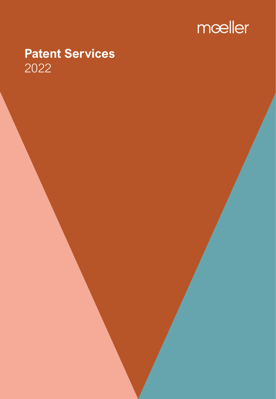

# **Patent Services** 2022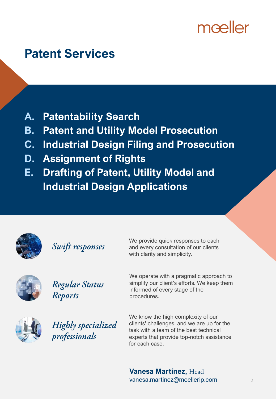# mæller

# **Patent Services**

- **A. Patentability Search**
- **B. Patent and Utility Model Prosecution**
- **C. Industrial Design Filing and Prosecution**
- **D. Assignment of Rights**
- **E. Drafting of Patent, Utility Model and Industrial Design Applications**



Swift responses

We provide quick responses to each and every consultation of our clients with clarity and simplicity.



Regular Status Reports

simplify our client's efforts. We keep them informed of every stage of the procedures.



Highly specialized professionals

We know the high complexity of our clients' challenges, and we are up for the task with a team of the best technical experts that provide top-notch assistance for each case.

We operate with a pragmatic approach to

**Vanesa Martínez,** Head vanesa.martinez@moellerip.com 2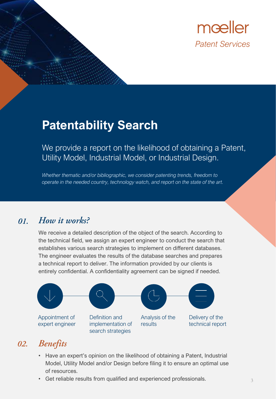

## **Patentability Search**

We provide a report on the likelihood of obtaining a Patent, Utility Model, Industrial Model, or Industrial Design.

*Whether thematic and/or bibliographic, we consider patenting trends, freedom to operate in the needed country, technology watch, and report on the state of the art.*

#### How it works?  $01.$

We receive a detailed description of the object of the search. According to the technical field, we assign an expert engineer to conduct the search that establishes various search strategies to implement on different databases. The engineer evaluates the results of the database searches and prepares a technical report to deliver. The information provided by our clients is entirely confidential. A confidentiality agreement can be signed if needed.



#### **Benefits** 02.

- Have an expert's opinion on the likelihood of obtaining a Patent, Industrial Model, Utility Model and/or Design before filing it to ensure an optimal use of resources.
- Get reliable results from qualified and experienced professionals.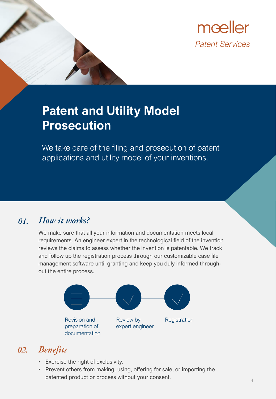

# **Patent and Utility Model Prosecution**

We take care of the filing and prosecution of patent applications and utility model of your inventions.

#### How it works? 01.

We make sure that all your information and documentation meets local requirements. An engineer expert in the technological field of the invention reviews the claims to assess whether the invention is patentable. We track and follow up the registration process through our customizable case file management software until granting and keep you duly informed throughout the entire process.



- Exercise the right of exclusivity.
- Prevent others from making, using, offering for sale, or importing the patented product or process without your consent.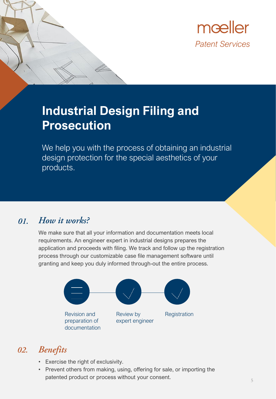

## **Industrial Design Filing and Prosecution**

We help you with the process of obtaining an industrial design protection for the special aesthetics of your products.

#### How it works? 01.

We make sure that all your information and documentation meets local requirements. An engineer expert in industrial designs prepares the application and proceeds with filing. We track and follow up the registration process through our customizable case file management software until granting and keep you duly informed through-out the entire process.



- Exercise the right of exclusivity.
- Prevent others from making, using, offering for sale, or importing the patented product or process without your consent.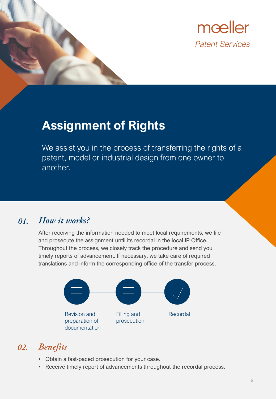

## **Assignment of Rights**

We assist you in the process of transferring the rights of a patent, model or industrial design from one owner to another.

#### How it works? 01.

After receiving the information needed to meet local requirements, we file and prosecute the assignment until its recordal in the local IP Office. Throughout the process, we closely track the procedure and send you timely reports of advancement. If necessary, we take care of required translations and inform the corresponding office of the transfer process.



- Obtain a fast-paced prosecution for your case.
- Receive timely report of advancements throughout the recordal process.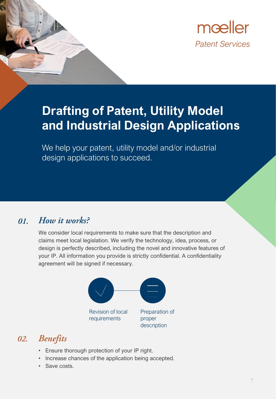

# **Drafting of Patent, Utility Model and Industrial Design Applications**

We help your patent, utility model and/or industrial design applications to succeed.

#### How it works? 01.

We consider local requirements to make sure that the description and claims meet local legislation. We verify the technology, idea, process, or design is perfectly described, including the novel and innovative features of your IP. All information you provide is strictly confidential. A confidentiality agreement will be signed if necessary.



- Ensure thorough protection of your IP right.
- Increase chances of the application being accepted.
- Save costs.